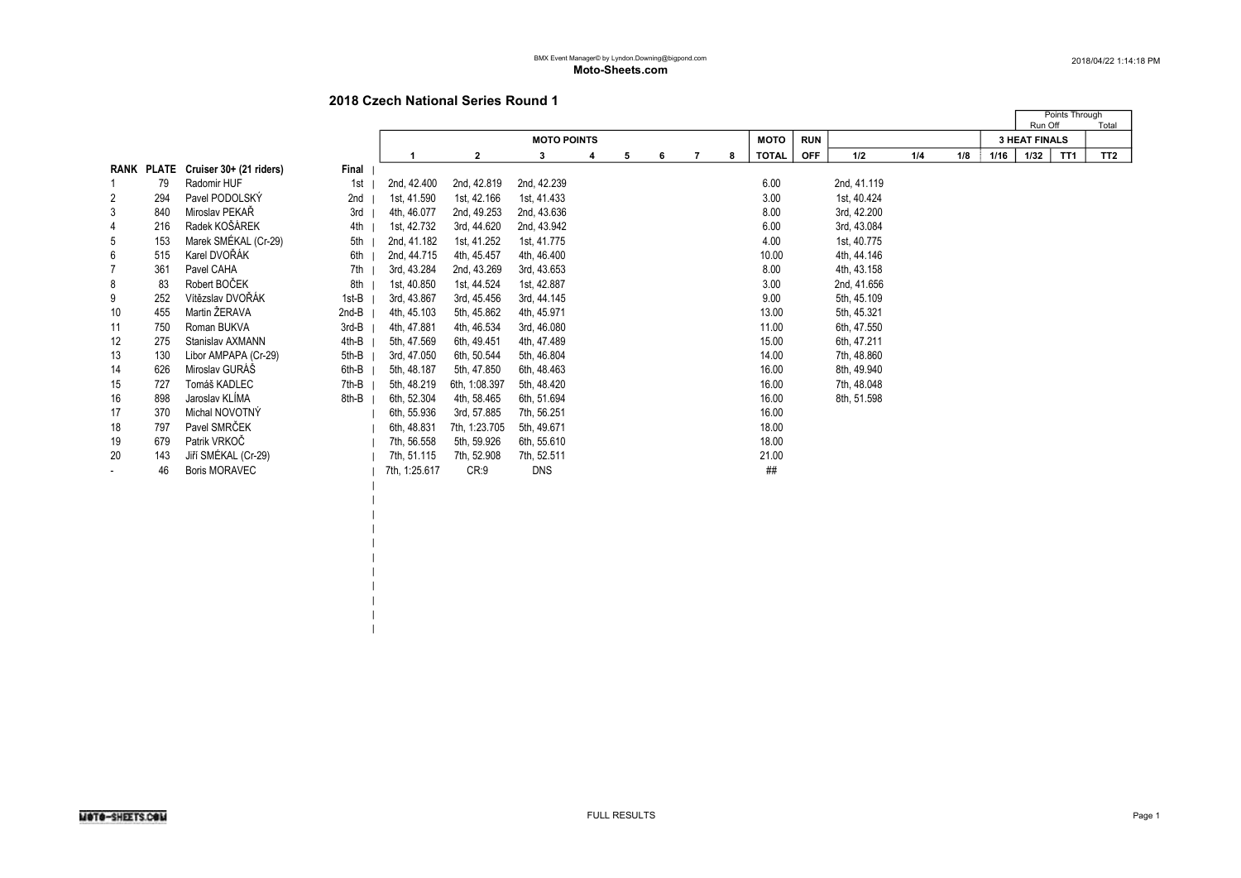| | | | | | |

|    |     |                                    |       |               |               |                    |   |   |   |  |   |              |            |             | Run Off | Points Through | Total |                      |                 |                 |
|----|-----|------------------------------------|-------|---------------|---------------|--------------------|---|---|---|--|---|--------------|------------|-------------|---------|----------------|-------|----------------------|-----------------|-----------------|
|    |     |                                    |       |               |               | <b>MOTO POINTS</b> |   |   |   |  |   | <b>MOTO</b>  | <b>RUN</b> |             |         |                |       | <b>3 HEAT FINALS</b> |                 |                 |
|    |     |                                    |       |               | $\mathbf{2}$  | 3                  | 4 | 5 | 6 |  | 8 | <b>TOTAL</b> | <b>OFF</b> | 1/2         | 1/4     | 1/8            | 1/16  | 1/32                 | TT <sub>1</sub> | TT <sub>2</sub> |
|    |     | RANK PLATE Cruiser 30+ (21 riders) | Final |               |               |                    |   |   |   |  |   |              |            |             |         |                |       |                      |                 |                 |
|    | 79  | Radomir HUF                        | 1st   | 2nd, 42.400   | 2nd, 42.819   | 2nd, 42.239        |   |   |   |  |   | 6.00         |            | 2nd, 41.119 |         |                |       |                      |                 |                 |
| 2  | 294 | Pavel PODOLSKÝ                     | 2nd   | 1st, 41.590   | 1st, 42.166   | 1st, 41.433        |   |   |   |  |   | 3.00         |            | 1st, 40.424 |         |                |       |                      |                 |                 |
| 3  | 840 | Miroslav PEKAŘ                     | 3rd   | 4th, 46.077   | 2nd, 49.253   | 2nd, 43.636        |   |   |   |  |   | 8.00         |            | 3rd, 42.200 |         |                |       |                      |                 |                 |
| 4  | 216 | Radek KOŠÁREK                      | 4th   | 1st, 42.732   | 3rd, 44.620   | 2nd, 43.942        |   |   |   |  |   | 6.00         |            | 3rd, 43.084 |         |                |       |                      |                 |                 |
| 5  | 153 | Marek SMÉKAL (Cr-29)               | 5th   | 2nd, 41.182   | 1st, 41.252   | 1st, 41.775        |   |   |   |  |   | 4.00         |            | 1st, 40.775 |         |                |       |                      |                 |                 |
| 6  | 515 | Karel DVOŘÁK                       | 6th   | 2nd, 44.715   | 4th, 45.457   | 4th, 46.400        |   |   |   |  |   | 10.00        |            | 4th, 44.146 |         |                |       |                      |                 |                 |
|    | 361 | Pavel CAHA                         | 7th   | 3rd, 43.284   | 2nd, 43.269   | 3rd, 43.653        |   |   |   |  |   | 8.00         |            | 4th, 43.158 |         |                |       |                      |                 |                 |
| 8  | 83  | Robert BOČEK                       | 8th   | 1st, 40.850   | 1st, 44.524   | 1st, 42.887        |   |   |   |  |   | 3.00         |            | 2nd, 41.656 |         |                |       |                      |                 |                 |
| 9  | 252 | Vítězslav DVOŘÁK                   | 1st-B | 3rd, 43.867   | 3rd, 45.456   | 3rd, 44.145        |   |   |   |  |   | 9.00         |            | 5th, 45.109 |         |                |       |                      |                 |                 |
| 10 | 455 | Martin ŽERAVA                      | 2nd-B | 4th, 45.103   | 5th, 45.862   | 4th, 45.971        |   |   |   |  |   | 13.00        |            | 5th, 45.321 |         |                |       |                      |                 |                 |
| 11 | 750 | Roman BUKVA                        | 3rd-B | 4th, 47.881   | 4th, 46.534   | 3rd, 46.080        |   |   |   |  |   | 11.00        |            | 6th, 47.550 |         |                |       |                      |                 |                 |
| 12 | 275 | Stanislav AXMANN                   | 4th-B | 5th. 47.569   | 6th, 49.451   | 4th, 47.489        |   |   |   |  |   | 15.00        |            | 6th, 47.211 |         |                |       |                      |                 |                 |
| 13 | 130 | Libor AMPAPA (Cr-29)               | 5th-B | 3rd. 47.050   | 6th, 50.544   | 5th, 46.804        |   |   |   |  |   | 14.00        |            | 7th, 48.860 |         |                |       |                      |                 |                 |
| 14 | 626 | Miroslav GURÁŠ                     | 6th-B | 5th, 48.187   | 5th, 47.850   | 6th, 48.463        |   |   |   |  |   | 16.00        |            | 8th, 49.940 |         |                |       |                      |                 |                 |
| 15 | 727 | Tomáš KADLEC                       | 7th-B | 5th, 48.219   | 6th, 1:08.397 | 5th, 48.420        |   |   |   |  |   | 16.00        |            | 7th, 48.048 |         |                |       |                      |                 |                 |
| 16 | 898 | Jaroslav KLÍMA                     | 8th-B | 6th, 52.304   | 4th, 58.465   | 6th, 51.694        |   |   |   |  |   | 16.00        |            | 8th, 51.598 |         |                |       |                      |                 |                 |
| 17 | 370 | Michal NOVOTNÝ                     |       | 6th, 55.936   | 3rd, 57.885   | 7th, 56.251        |   |   |   |  |   | 16.00        |            |             |         |                |       |                      |                 |                 |
| 18 | 797 | Pavel SMRČEK                       |       | 6th, 48.831   | 7th, 1:23.705 | 5th, 49.671        |   |   |   |  |   | 18.00        |            |             |         |                |       |                      |                 |                 |
| 19 | 679 | Patrik VRKOČ                       |       | 7th, 56.558   | 5th, 59.926   | 6th, 55.610        |   |   |   |  |   | 18.00        |            |             |         |                |       |                      |                 |                 |
| 20 | 143 | Jiří SMÉKAL (Cr-29)                |       | 7th, 51.115   | 7th, 52.908   | 7th, 52.511        |   |   |   |  |   | 21.00        |            |             |         |                |       |                      |                 |                 |
|    | 46  | <b>Boris MORAVEC</b>               |       | 7th, 1:25.617 | CR:9          | <b>DNS</b>         |   |   |   |  |   | ##           |            |             |         |                |       |                      |                 |                 |
|    |     |                                    |       |               |               |                    |   |   |   |  |   |              |            |             |         |                |       |                      |                 |                 |
|    |     |                                    |       |               |               |                    |   |   |   |  |   |              |            |             |         |                |       |                      |                 |                 |
|    |     |                                    |       |               |               |                    |   |   |   |  |   |              |            |             |         |                |       |                      |                 |                 |
|    |     |                                    |       |               |               |                    |   |   |   |  |   |              |            |             |         |                |       |                      |                 |                 |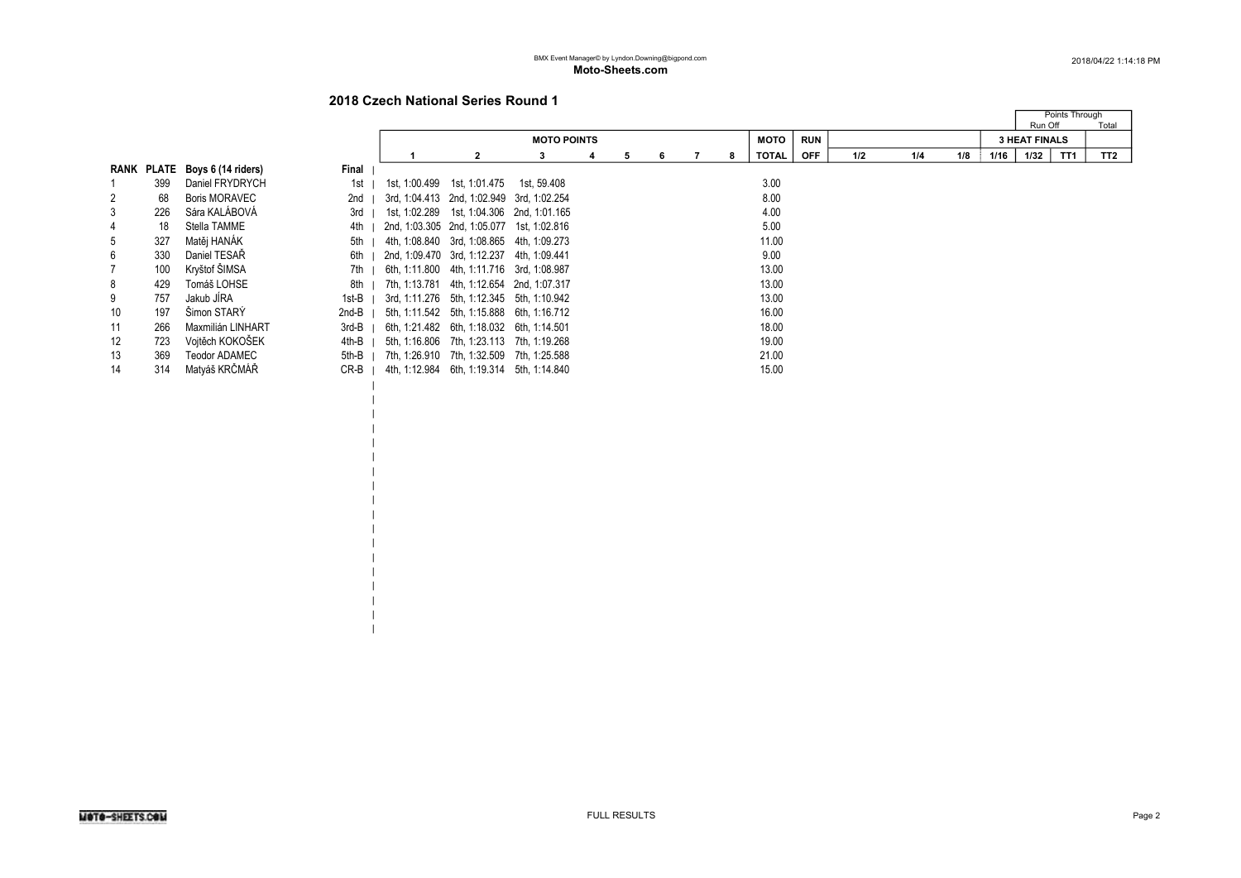| | | | | | | | | | | | | | | | |

|                |     |                               |         |                                           |                                               |                    |  |   |   |              |            |     |     |     |      |                      | Points Through  |
|----------------|-----|-------------------------------|---------|-------------------------------------------|-----------------------------------------------|--------------------|--|---|---|--------------|------------|-----|-----|-----|------|----------------------|-----------------|
|                |     |                               |         |                                           |                                               |                    |  |   |   |              |            |     |     |     |      | Run Off              | Total           |
|                |     |                               |         |                                           |                                               | <b>MOTO POINTS</b> |  |   |   | <b>MOTO</b>  | <b>RUN</b> |     |     |     |      | <b>3 HEAT FINALS</b> |                 |
|                |     |                               |         |                                           |                                               |                    |  | 6 | 8 | <b>TOTAL</b> | <b>OFF</b> | 1/2 | 1/4 | 1/8 | 1/16 | TT1<br>1/32          | TT <sub>2</sub> |
|                |     | RANK PLATE Boys 6 (14 riders) | Final   |                                           |                                               |                    |  |   |   |              |            |     |     |     |      |                      |                 |
|                | 399 | Daniel FRYDRYCH               | 1st I   |                                           | 1st, 1:00.499    1st, 1:01.475    1st, 59.408 |                    |  |   |   | 3.00         |            |     |     |     |      |                      |                 |
| 2              | 68  | <b>Boris MORAVEC</b>          | 2nd     | 3rd, 1:04.413 2nd, 1:02.949 3rd, 1:02.254 |                                               |                    |  |   |   | 8.00         |            |     |     |     |      |                      |                 |
| 3              | 226 | Sára KALÁBOVÁ                 | $3rd$   | 1st, 1:02.289 1st, 1:04.306 2nd, 1:01.165 |                                               |                    |  |   |   | 4.00         |            |     |     |     |      |                      |                 |
| 4              | 18  | Stella TAMME                  | 4th     | 2nd, 1:03.305 2nd, 1:05.077 1st, 1:02.816 |                                               |                    |  |   |   | 5.00         |            |     |     |     |      |                      |                 |
| 5              | 327 | Matěj HANÁK                   | $5th$   | 4th, 1:08.840 3rd, 1:08.865 4th, 1:09.273 |                                               |                    |  |   |   | 11.00        |            |     |     |     |      |                      |                 |
| 6              | 330 | Daniel TESAŘ                  | 6th I   | 2nd, 1:09.470 3rd, 1:12.237 4th, 1:09.441 |                                               |                    |  |   |   | 9.00         |            |     |     |     |      |                      |                 |
| $\overline{7}$ | 100 | Kryštof ŠIMSA                 | $7th$ 1 | 6th, 1:11.800 4th, 1:11.716 3rd, 1:08.987 |                                               |                    |  |   |   | 13.00        |            |     |     |     |      |                      |                 |
| 8              | 429 | Tomáš LOHSE                   | 8th I   | 7th, 1:13.781 4th, 1:12.654 2nd, 1:07.317 |                                               |                    |  |   |   | 13.00        |            |     |     |     |      |                      |                 |
| 9              | 757 | Jakub JÍRA                    | $1st-B$ | 3rd, 1:11.276 5th, 1:12.345 5th, 1:10.942 |                                               |                    |  |   |   | 13.00        |            |     |     |     |      |                      |                 |
| 10             | 197 | Simon STARY                   | $2nd-B$ | 5th, 1:11.542 5th, 1:15.888 6th, 1:16.712 |                                               |                    |  |   |   | 16.00        |            |     |     |     |      |                      |                 |
| 11             | 266 | Maxmilián LINHART             | 3rd-B   | 6th, 1:21.482 6th, 1:18.032 6th, 1:14.501 |                                               |                    |  |   |   | 18.00        |            |     |     |     |      |                      |                 |
| 12             | 723 | Vojtěch KOKOŠEK               | 4th-B   | 5th, 1:16.806 7th, 1:23.113 7th, 1:19.268 |                                               |                    |  |   |   | 19.00        |            |     |     |     |      |                      |                 |
| 13             | 369 | Teodor ADAMEC                 | 5th-B   | 7th, 1:26.910 7th, 1:32.509 7th, 1:25.588 |                                               |                    |  |   |   | 21.00        |            |     |     |     |      |                      |                 |
| 14             | 314 | Matyáš KRČMÁŘ                 | $CR-B$  |                                           | 4th, 1:12.984 6th, 1:19.314 5th, 1:14.840     |                    |  |   |   | 15.00        |            |     |     |     |      |                      |                 |
|                |     |                               |         |                                           |                                               |                    |  |   |   |              |            |     |     |     |      |                      |                 |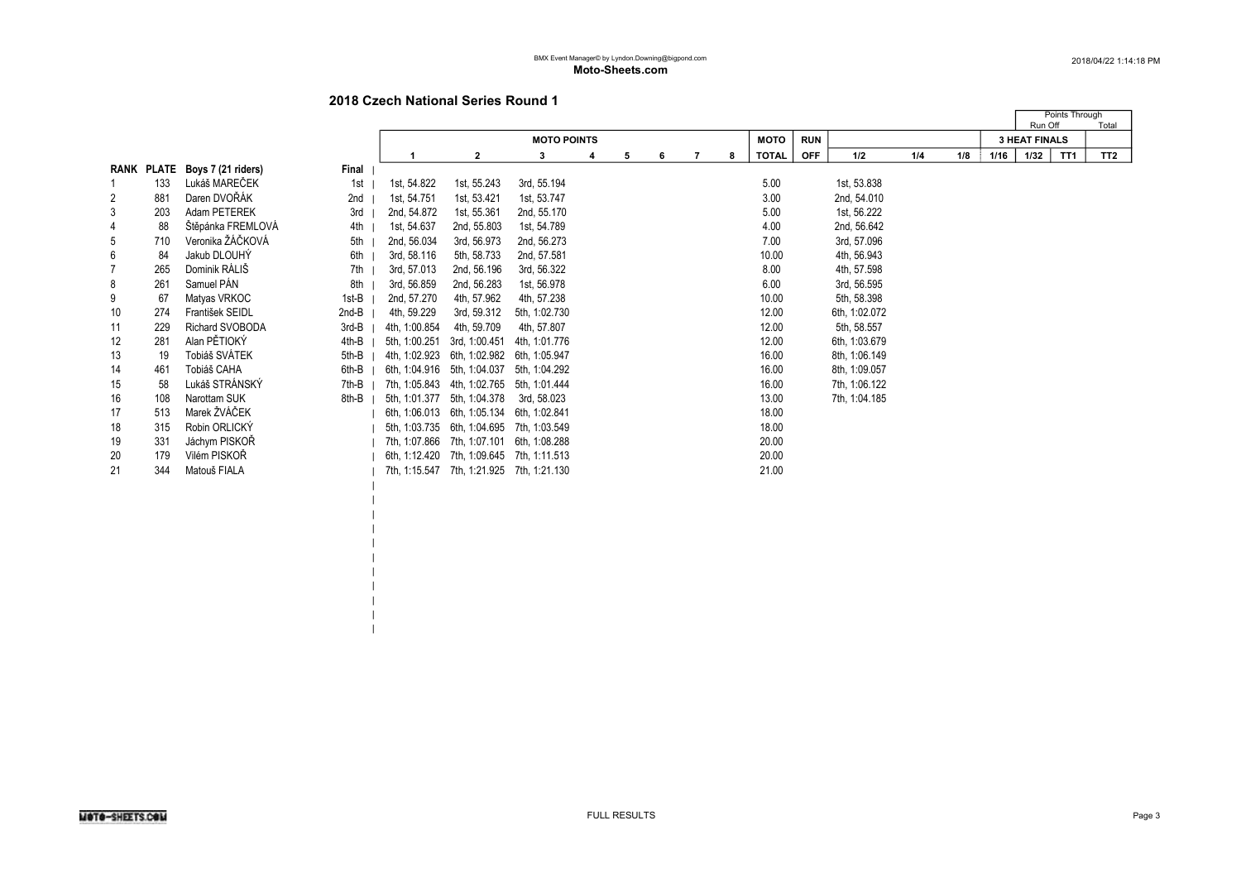|  $\perp$  $\blacksquare$ |

|    |            |                    |       |               |                                           |                    |   |   |   |                |   |              |            |               |     |     |      | Run Off              | Points Through | Total           |
|----|------------|--------------------|-------|---------------|-------------------------------------------|--------------------|---|---|---|----------------|---|--------------|------------|---------------|-----|-----|------|----------------------|----------------|-----------------|
|    |            |                    |       |               |                                           | <b>MOTO POINTS</b> |   |   |   |                |   | <b>MOTO</b>  | <b>RUN</b> |               |     |     |      | <b>3 HEAT FINALS</b> |                |                 |
|    |            |                    |       |               | $\mathbf{2}$                              | 3                  | 4 | 5 | 6 | $\overline{7}$ | 8 | <b>TOTAL</b> | <b>OFF</b> | 1/2           | 1/4 | 1/8 | 1/16 | 1/32                 | TT1            | TT <sub>2</sub> |
|    | RANK PLATE | Boys 7 (21 riders) | Final |               |                                           |                    |   |   |   |                |   |              |            |               |     |     |      |                      |                |                 |
|    | 133        | Lukáš MAREČEK      | 1st   | 1st, 54.822   | 1st, 55.243                               | 3rd, 55.194        |   |   |   |                |   | 5.00         |            | 1st, 53.838   |     |     |      |                      |                |                 |
| 2  | 881        | Daren DVOŘÁK       | 2nd   | 1st, 54.751   | 1st, 53.421                               | 1st, 53.747        |   |   |   |                |   | 3.00         |            | 2nd, 54.010   |     |     |      |                      |                |                 |
| 3  | 203        | Adam PETEREK       | 3rd   | 2nd, 54.872   | 1st, 55.361                               | 2nd, 55.170        |   |   |   |                |   | 5.00         |            | 1st, 56.222   |     |     |      |                      |                |                 |
| 4  | 88         | Štěpánka FREMLOVÁ  | 4th   | 1st, 54.637   | 2nd, 55.803                               | 1st, 54.789        |   |   |   |                |   | 4.00         |            | 2nd, 56.642   |     |     |      |                      |                |                 |
| 5  | 710        | Veronika ŽÁČKOVÁ   | 5th   | 2nd, 56.034   | 3rd, 56.973                               | 2nd, 56.273        |   |   |   |                |   | 7.00         |            | 3rd, 57.096   |     |     |      |                      |                |                 |
| 6  | 84         | Jakub DLOUHÝ       | 6th   | 3rd, 58.116   | 5th, 58.733                               | 2nd, 57.581        |   |   |   |                |   | 10.00        |            | 4th, 56.943   |     |     |      |                      |                |                 |
|    | 265        | Dominik RÁLIŠ      | 7th   | 3rd, 57.013   | 2nd, 56.196                               | 3rd, 56.322        |   |   |   |                |   | 8.00         |            | 4th, 57.598   |     |     |      |                      |                |                 |
| 8  | 261        | Samuel PÁN         | 8th   | 3rd, 56.859   | 2nd, 56.283                               | 1st, 56.978        |   |   |   |                |   | 6.00         |            | 3rd, 56.595   |     |     |      |                      |                |                 |
| 9  | 67         | Matyas VRKOC       | 1st-B | 2nd, 57.270   | 4th, 57.962                               | 4th, 57.238        |   |   |   |                |   | 10.00        |            | 5th, 58.398   |     |     |      |                      |                |                 |
| 10 | 274        | František SEIDL    | 2nd-B | 4th, 59.229   | 3rd, 59.312                               | 5th, 1:02.730      |   |   |   |                |   | 12.00        |            | 6th, 1:02.072 |     |     |      |                      |                |                 |
| 11 | 229        | Richard SVOBODA    | 3rd-B | 4th, 1:00.854 | 4th, 59.709                               | 4th, 57.807        |   |   |   |                |   | 12.00        |            | 5th, 58.557   |     |     |      |                      |                |                 |
| 12 | 281        | Alan PĚTIOKÝ       | 4th-B | 5th, 1:00.251 | 3rd, 1:00.451                             | 4th, 1:01.776      |   |   |   |                |   | 12.00        |            | 6th, 1:03.679 |     |     |      |                      |                |                 |
| 13 | 19         | Tobiáš SVÁTEK      | 5th-B | 4th, 1:02.923 | 6th, 1:02.982 6th, 1:05.947               |                    |   |   |   |                |   | 16.00        |            | 8th, 1:06.149 |     |     |      |                      |                |                 |
| 14 | 461        | Tobiáš CAHA        | 6th-B | 6th, 1:04.916 | 5th, 1:04.037                             | 5th, 1:04.292      |   |   |   |                |   | 16.00        |            | 8th, 1:09.057 |     |     |      |                      |                |                 |
| 15 | 58         | Lukáš STRÁNSKÝ     | 7th-B | 7th, 1:05.843 | 4th, 1:02.765                             | 5th, 1:01.444      |   |   |   |                |   | 16.00        |            | 7th, 1:06.122 |     |     |      |                      |                |                 |
| 16 | 108        | Narottam SUK       | 8th-B | 5th, 1:01.377 | 5th, 1:04.378                             | 3rd, 58.023        |   |   |   |                |   | 13.00        |            | 7th, 1:04.185 |     |     |      |                      |                |                 |
| 17 | 513        | Marek ŽVÁČEK       |       | 6th, 1:06.013 | 6th, 1:05.134 6th, 1:02.841               |                    |   |   |   |                |   | 18.00        |            |               |     |     |      |                      |                |                 |
| 18 | 315        | Robin ORLICKÝ      |       | 5th, 1:03.735 | 6th, 1:04.695 7th, 1:03.549               |                    |   |   |   |                |   | 18.00        |            |               |     |     |      |                      |                |                 |
| 19 | 331        | Jáchym PISKOŘ      |       |               | 7th, 1:07.866 7th, 1:07.101 6th, 1:08.288 |                    |   |   |   |                |   | 20.00        |            |               |     |     |      |                      |                |                 |
| 20 | 179        | Vilém PISKOŘ       |       |               | 6th, 1:12.420 7th, 1:09.645 7th, 1:11.513 |                    |   |   |   |                |   | 20.00        |            |               |     |     |      |                      |                |                 |
| 21 | 344        | Matouš FIALA       |       |               | 7th, 1:15.547 7th, 1:21.925 7th, 1:21.130 |                    |   |   |   |                |   | 21.00        |            |               |     |     |      |                      |                |                 |
|    |            |                    |       |               |                                           |                    |   |   |   |                |   |              |            |               |     |     |      |                      |                |                 |
|    |            |                    |       |               |                                           |                    |   |   |   |                |   |              |            |               |     |     |      |                      |                |                 |
|    |            |                    |       |               |                                           |                    |   |   |   |                |   |              |            |               |     |     |      |                      |                |                 |
|    |            |                    |       |               |                                           |                    |   |   |   |                |   |              |            |               |     |     |      |                      |                |                 |
|    |            |                    |       |               |                                           |                    |   |   |   |                |   |              |            |               |     |     |      |                      |                |                 |
|    |            |                    |       |               |                                           |                    |   |   |   |                |   |              |            |               |     |     |      |                      |                |                 |
|    |            |                    |       |               |                                           |                    |   |   |   |                |   |              |            |               |     |     |      |                      |                |                 |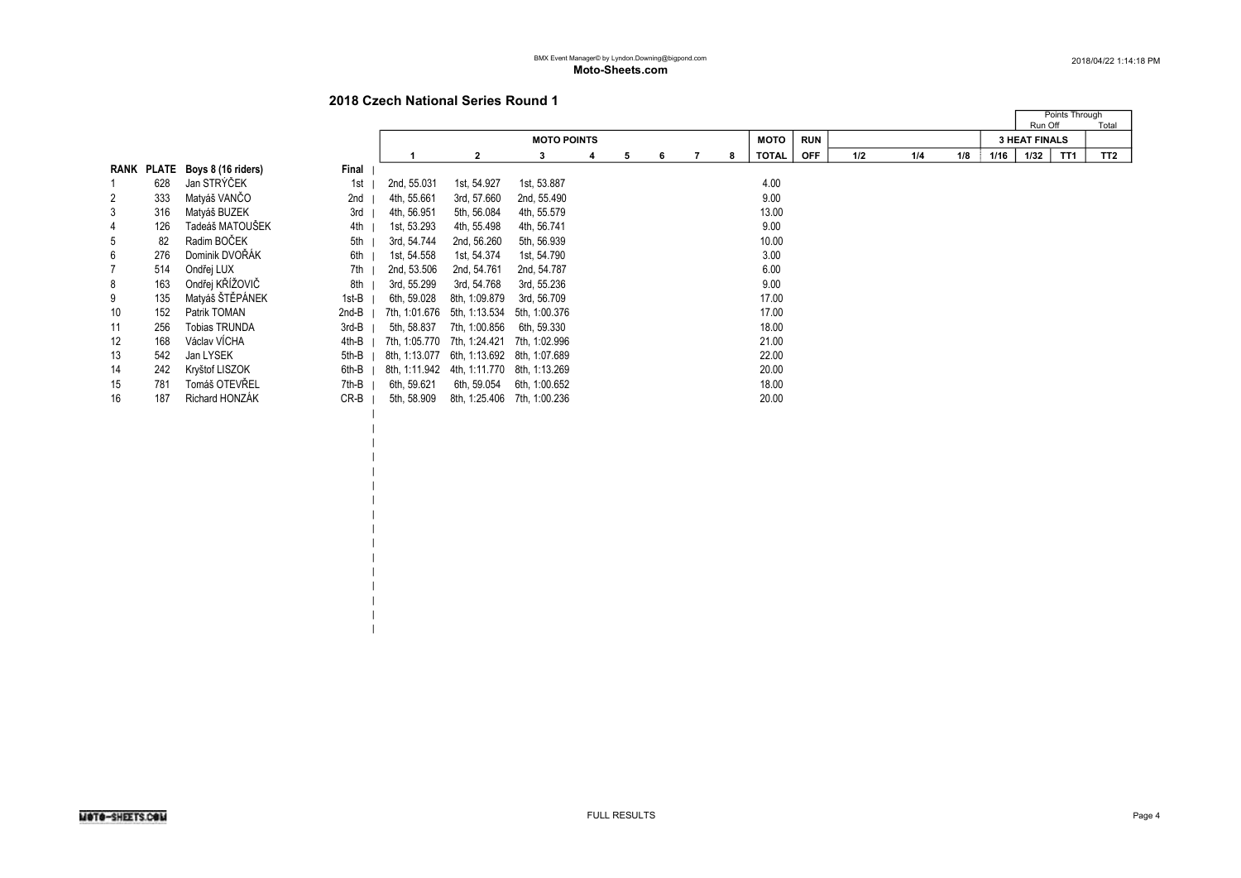| | | | | | | | | | | | | | |

|                |            |                    |        |               |                             |                    |    |   |   |              |            |     |     |     |      | Points Through<br>Run Off | Total           |
|----------------|------------|--------------------|--------|---------------|-----------------------------|--------------------|----|---|---|--------------|------------|-----|-----|-----|------|---------------------------|-----------------|
|                |            |                    |        |               |                             | <b>MOTO POINTS</b> |    |   |   | <b>MOTO</b>  | <b>RUN</b> |     |     |     |      | <b>3 HEAT FINALS</b>      |                 |
|                |            |                    |        |               | $\mathbf{2}$                | 3                  | 5. | 6 | 8 | <b>TOTAL</b> | <b>OFF</b> | 1/2 | 1/4 | 1/8 | 1/16 | 1/32<br>TT <sub>1</sub>   | TT <sub>2</sub> |
|                | RANK PLATE | Boys 8 (16 riders) | Final  |               |                             |                    |    |   |   |              |            |     |     |     |      |                           |                 |
|                | 628        | Jan STRÝČEK        | 1st    | 2nd, 55.031   | 1st, 54.927                 | 1st, 53.887        |    |   |   | 4.00         |            |     |     |     |      |                           |                 |
| 2              | 333        | Matyáš VANČO       | 2nd    | 4th, 55.661   | 3rd, 57.660                 | 2nd, 55.490        |    |   |   | 9.00         |            |     |     |     |      |                           |                 |
| 3              | 316        | Matyáš BUZEK       | 3rd    | 4th, 56.951   | 5th, 56.084                 | 4th, 55.579        |    |   |   | 13.00        |            |     |     |     |      |                           |                 |
| 4              | 126        | Tadeáš MATOUŠEK    | 4th    | 1st, 53.293   | 4th, 55.498                 | 4th, 56.741        |    |   |   | 9.00         |            |     |     |     |      |                           |                 |
| 5              | 82         | Radim BOČEK        | 5th    | 3rd, 54.744   | 2nd, 56.260                 | 5th, 56.939        |    |   |   | 10.00        |            |     |     |     |      |                           |                 |
| 6              | 276        | Dominik DVOŘÁK     | 6th    | 1st, 54.558   | 1st, 54.374                 | 1st, 54.790        |    |   |   | 3.00         |            |     |     |     |      |                           |                 |
| $\overline{7}$ | 514        | Ondřej LUX         | 7th    | 2nd, 53.506   | 2nd, 54.761                 | 2nd, 54.787        |    |   |   | 6.00         |            |     |     |     |      |                           |                 |
| 8              | 163        | Ondřej KŘÍŽOVIČ    | 8th    | 3rd, 55.299   | 3rd, 54.768                 | 3rd, 55.236        |    |   |   | 9.00         |            |     |     |     |      |                           |                 |
| 9              | 135        | Matyáš ŠTĚPÁNEK    | 1st-B  | 6th, 59.028   | 8th, 1:09.879               | 3rd, 56.709        |    |   |   | 17.00        |            |     |     |     |      |                           |                 |
| 10             | 152        | Patrik TOMAN       | 2nd-B  | 7th, 1:01.676 | 5th, 1:13.534               | 5th, 1:00.376      |    |   |   | 17.00        |            |     |     |     |      |                           |                 |
| 11             | 256        | Tobias TRUNDA      | 3rd-B  | 5th, 58.837   | 7th, 1:00.856               | 6th, 59.330        |    |   |   | 18.00        |            |     |     |     |      |                           |                 |
| 12             | 168        | Václav VÍCHA       | 4th-B  | 7th, 1:05.770 | 7th, 1:24.421               | 7th, 1:02.996      |    |   |   | 21.00        |            |     |     |     |      |                           |                 |
| 13             | 542        | Jan LYSEK          | 5th-B  | 8th. 1:13.077 | 6th, 1:13.692 8th, 1:07.689 |                    |    |   |   | 22.00        |            |     |     |     |      |                           |                 |
| 14             | 242        | Kryštof LISZOK     | 6th-B  | 8th, 1:11.942 | 4th, 1:11.770               | 8th, 1:13.269      |    |   |   | 20.00        |            |     |     |     |      |                           |                 |
| 15             | 781        | Tomáš OTEVŘEL      | 7th-B  | 6th, 59.621   | 6th, 59.054                 | 6th, 1:00.652      |    |   |   | 18.00        |            |     |     |     |      |                           |                 |
| 16             | 187        | Richard HONZÁK     | $CR-B$ | 5th, 58.909   | 8th, 1:25.406               | 7th, 1:00.236      |    |   |   | 20.00        |            |     |     |     |      |                           |                 |
|                |            |                    |        |               |                             |                    |    |   |   |              |            |     |     |     |      |                           |                 |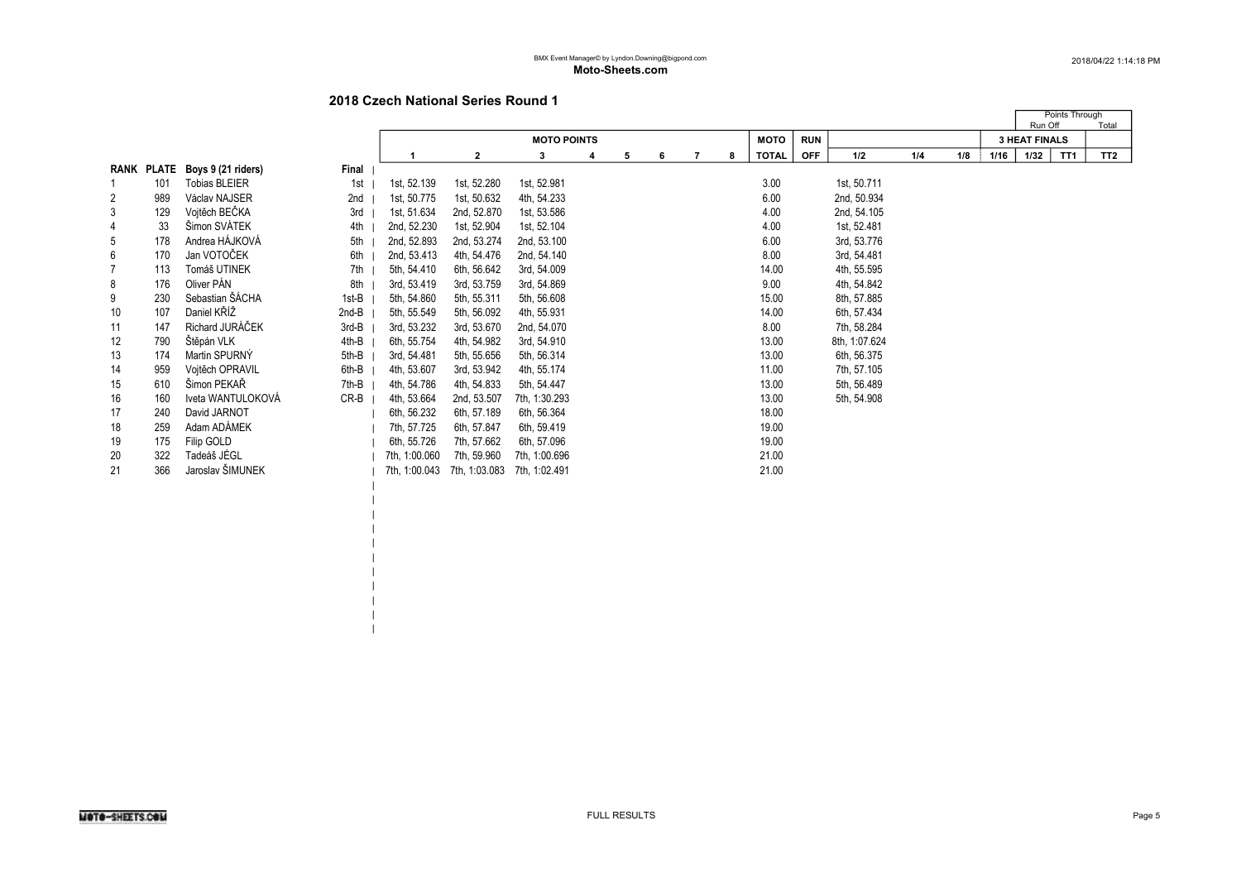| | | | |

|    |     |                               |       |               |               |                    |   |   |   |   |   |              |            |               |     |     |      | Run Off              | Points Through | Total           |
|----|-----|-------------------------------|-------|---------------|---------------|--------------------|---|---|---|---|---|--------------|------------|---------------|-----|-----|------|----------------------|----------------|-----------------|
|    |     |                               |       |               |               | <b>MOTO POINTS</b> |   |   |   |   |   | <b>MOTO</b>  | <b>RUN</b> |               |     |     |      | <b>3 HEAT FINALS</b> |                |                 |
|    |     |                               |       |               | $\mathbf{2}$  | 3                  | 4 | 5 | 6 | 7 | 8 | <b>TOTAL</b> | <b>OFF</b> | 1/2           | 1/4 | 1/8 | 1/16 | 1/32                 | TT1            | TT <sub>2</sub> |
|    |     | RANK PLATE Boys 9 (21 riders) | Final |               |               |                    |   |   |   |   |   |              |            |               |     |     |      |                      |                |                 |
|    | 101 | <b>Tobias BLEIER</b>          | 1st   | 1st, 52.139   | 1st, 52.280   | 1st, 52.981        |   |   |   |   |   | 3.00         |            | 1st, 50.711   |     |     |      |                      |                |                 |
| 2  | 989 | Václav NAJSER                 | 2nd   | 1st, 50.775   | 1st, 50.632   | 4th, 54.233        |   |   |   |   |   | 6.00         |            | 2nd, 50.934   |     |     |      |                      |                |                 |
| 3  | 129 | Vojtěch BEČKA                 | 3rd   | 1st, 51.634   | 2nd, 52.870   | 1st, 53.586        |   |   |   |   |   | 4.00         |            | 2nd, 54.105   |     |     |      |                      |                |                 |
| 4  | 33  | Šimon SVÁTEK                  | 4th   | 2nd, 52.230   | 1st, 52.904   | 1st, 52.104        |   |   |   |   |   | 4.00         |            | 1st, 52.481   |     |     |      |                      |                |                 |
| 5  | 178 | Andrea HÁJKOVÁ                | 5th   | 2nd, 52.893   | 2nd, 53.274   | 2nd, 53.100        |   |   |   |   |   | 6.00         |            | 3rd, 53.776   |     |     |      |                      |                |                 |
| 6  | 170 | Jan VOTOČEK                   | 6th   | 2nd, 53.413   | 4th, 54.476   | 2nd, 54.140        |   |   |   |   |   | 8.00         |            | 3rd, 54.481   |     |     |      |                      |                |                 |
|    | 113 | Tomáš UTINEK                  | 7th   | 5th, 54.410   | 6th, 56.642   | 3rd, 54.009        |   |   |   |   |   | 14.00        |            | 4th, 55.595   |     |     |      |                      |                |                 |
| 8  | 176 | Oliver PÁN                    | 8th   | 3rd, 53.419   | 3rd, 53.759   | 3rd, 54.869        |   |   |   |   |   | 9.00         |            | 4th, 54.842   |     |     |      |                      |                |                 |
| 9  | 230 | Sebastian ŠÁCHA               | 1st-B | 5th, 54.860   | 5th, 55.311   | 5th, 56.608        |   |   |   |   |   | 15.00        |            | 8th, 57.885   |     |     |      |                      |                |                 |
| 10 | 107 | Daniel KŘÍŽ                   | 2nd-B | 5th, 55.549   | 5th, 56.092   | 4th, 55.931        |   |   |   |   |   | 14.00        |            | 6th, 57.434   |     |     |      |                      |                |                 |
| 11 | 147 | Richard JURÁČEK               | 3rd-B | 3rd, 53.232   | 3rd, 53.670   | 2nd, 54.070        |   |   |   |   |   | 8.00         |            | 7th, 58.284   |     |     |      |                      |                |                 |
| 12 | 790 | Štěpán VLK                    | 4th-B | 6th, 55.754   | 4th, 54.982   | 3rd, 54.910        |   |   |   |   |   | 13.00        |            | 8th, 1:07.624 |     |     |      |                      |                |                 |
| 13 | 174 | Martin SPURNÝ                 | 5th-B | 3rd, 54.481   | 5th, 55.656   | 5th, 56.314        |   |   |   |   |   | 13.00        |            | 6th, 56.375   |     |     |      |                      |                |                 |
| 14 | 959 | Vojtěch OPRAVIL               | 6th-B | 4th, 53.607   | 3rd, 53.942   | 4th, 55.174        |   |   |   |   |   | 11.00        |            | 7th, 57.105   |     |     |      |                      |                |                 |
| 15 | 610 | Šimon PEKAŘ                   | 7th-B | 4th, 54.786   | 4th, 54.833   | 5th, 54.447        |   |   |   |   |   | 13.00        |            | 5th, 56.489   |     |     |      |                      |                |                 |
| 16 | 160 | Iveta WANTULOKOVÁ             | CR-B  | 4th, 53.664   | 2nd, 53.507   | 7th, 1:30.293      |   |   |   |   |   | 13.00        |            | 5th, 54.908   |     |     |      |                      |                |                 |
| 17 | 240 | David JARNOT                  |       | 6th, 56.232   | 6th, 57.189   | 6th, 56.364        |   |   |   |   |   | 18.00        |            |               |     |     |      |                      |                |                 |
| 18 | 259 | Adam ADÁMEK                   |       | 7th, 57.725   | 6th, 57.847   | 6th, 59.419        |   |   |   |   |   | 19.00        |            |               |     |     |      |                      |                |                 |
| 19 | 175 | Filip GOLD                    |       | 6th, 55.726   | 7th, 57.662   | 6th, 57.096        |   |   |   |   |   | 19.00        |            |               |     |     |      |                      |                |                 |
| 20 | 322 | Tadeáš JÉGL                   |       | 7th, 1:00.060 | 7th, 59.960   | 7th, 1:00.696      |   |   |   |   |   | 21.00        |            |               |     |     |      |                      |                |                 |
| 21 | 366 | Jaroslav ŠIMUNEK              |       | 7th, 1:00.043 | 7th, 1:03.083 | 7th. 1:02.491      |   |   |   |   |   | 21.00        |            |               |     |     |      |                      |                |                 |
|    |     |                               |       |               |               |                    |   |   |   |   |   |              |            |               |     |     |      |                      |                |                 |
|    |     |                               |       |               |               |                    |   |   |   |   |   |              |            |               |     |     |      |                      |                |                 |
|    |     |                               |       |               |               |                    |   |   |   |   |   |              |            |               |     |     |      |                      |                |                 |
|    |     |                               |       |               |               |                    |   |   |   |   |   |              |            |               |     |     |      |                      |                |                 |
|    |     |                               |       |               |               |                    |   |   |   |   |   |              |            |               |     |     |      |                      |                |                 |
|    |     |                               |       |               |               |                    |   |   |   |   |   |              |            |               |     |     |      |                      |                |                 |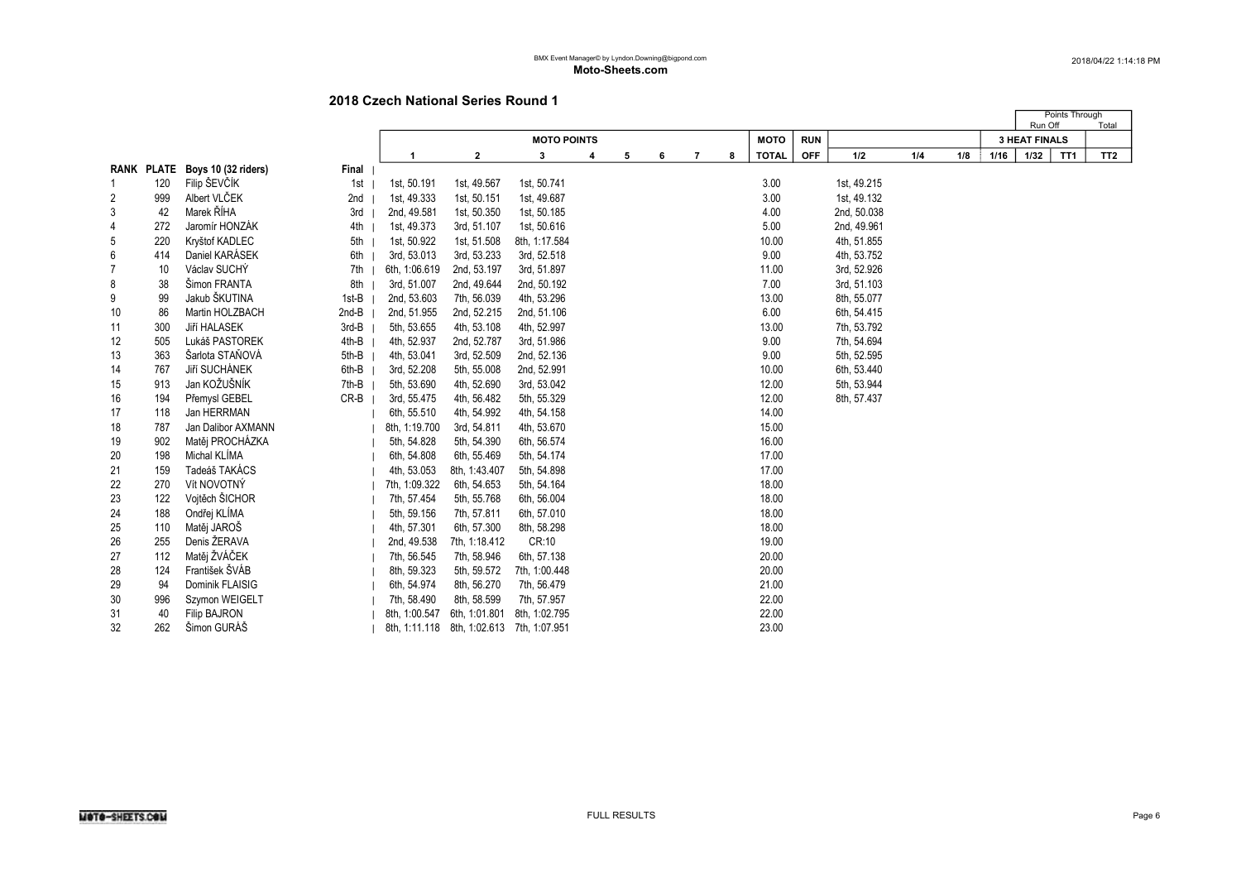|                |     |                                |        |                                           |               |                    |   |   |   |   |    |              |            |             |     |     |      | Run Off              | Points Through  | Total           |
|----------------|-----|--------------------------------|--------|-------------------------------------------|---------------|--------------------|---|---|---|---|----|--------------|------------|-------------|-----|-----|------|----------------------|-----------------|-----------------|
|                |     |                                |        |                                           |               | <b>MOTO POINTS</b> |   |   |   |   |    | <b>MOTO</b>  | <b>RUN</b> |             |     |     |      | <b>3 HEAT FINALS</b> |                 |                 |
|                |     |                                |        |                                           | $\mathbf{2}$  | 3                  | 4 | 5 | 6 | 7 | -8 | <b>TOTAL</b> | <b>OFF</b> | 1/2         | 1/4 | 1/8 | 1/16 | 1/32                 | TT <sub>1</sub> | TT <sub>2</sub> |
|                |     | RANK PLATE Boys 10 (32 riders) | Final  |                                           |               |                    |   |   |   |   |    |              |            |             |     |     |      |                      |                 |                 |
|                | 120 | Filip ŠEVČÍK                   | 1st    | 1st, 50.191                               | 1st, 49.567   | 1st, 50.741        |   |   |   |   |    | 3.00         |            | 1st, 49.215 |     |     |      |                      |                 |                 |
| 2              | 999 | Albert VLČEK                   | 2nd    | 1st, 49.333                               | 1st, 50.151   | 1st, 49.687        |   |   |   |   |    | 3.00         |            | 1st, 49.132 |     |     |      |                      |                 |                 |
| 3              | 42  | Marek ŘÍHA                     | 3rd    | 2nd, 49.581                               | 1st, 50.350   | 1st, 50.185        |   |   |   |   |    | 4.00         |            | 2nd, 50.038 |     |     |      |                      |                 |                 |
| 4              | 272 | Jaromír HONZÁK                 | 4th    | 1st, 49.373                               | 3rd, 51.107   | 1st, 50.616        |   |   |   |   |    | 5.00         |            | 2nd, 49.961 |     |     |      |                      |                 |                 |
| 5              | 220 | Kryštof KADLEC                 | 5th    | 1st, 50.922                               | 1st, 51.508   | 8th, 1:17.584      |   |   |   |   |    | 10.00        |            | 4th, 51.855 |     |     |      |                      |                 |                 |
| 6              | 414 | Daniel KARÁSEK                 | 6th    | 3rd, 53.013                               | 3rd, 53.233   | 3rd, 52.518        |   |   |   |   |    | 9.00         |            | 4th, 53.752 |     |     |      |                      |                 |                 |
| $\overline{7}$ | 10  | Václav SUCHÝ                   | 7th    | 6th, 1:06.619                             | 2nd, 53.197   | 3rd, 51.897        |   |   |   |   |    | 11.00        |            | 3rd, 52.926 |     |     |      |                      |                 |                 |
| 8              | 38  | Šimon FRANTA                   | 8th    | 3rd, 51.007                               | 2nd, 49.644   | 2nd, 50.192        |   |   |   |   |    | 7.00         |            | 3rd, 51.103 |     |     |      |                      |                 |                 |
| 9              | 99  | Jakub ŠKUTINA                  | 1st-B  | 2nd, 53.603                               | 7th, 56.039   | 4th, 53.296        |   |   |   |   |    | 13.00        |            | 8th, 55.077 |     |     |      |                      |                 |                 |
| 10             | 86  | Martin HOLZBACH                | 2nd-B  | 2nd, 51.955                               | 2nd, 52.215   | 2nd, 51.106        |   |   |   |   |    | 6.00         |            | 6th, 54.415 |     |     |      |                      |                 |                 |
| 11             | 300 | Jiří HALASEK                   | 3rd-B  | 5th, 53.655                               | 4th, 53.108   | 4th, 52.997        |   |   |   |   |    | 13.00        |            | 7th, 53.792 |     |     |      |                      |                 |                 |
| 12             | 505 | Lukáš PASTOREK                 | 4th-B  | 4th, 52.937                               | 2nd, 52.787   | 3rd, 51.986        |   |   |   |   |    | 9.00         |            | 7th, 54.694 |     |     |      |                      |                 |                 |
| 13             | 363 | Šarlota STAŇOVÁ                | 5th-B  | 4th, 53.041                               | 3rd, 52.509   | 2nd, 52.136        |   |   |   |   |    | 9.00         |            | 5th, 52.595 |     |     |      |                      |                 |                 |
| 14             | 767 | Jiří SUCHÁNEK                  | 6th-B  | 3rd, 52.208                               | 5th, 55.008   | 2nd, 52.991        |   |   |   |   |    | 10.00        |            | 6th, 53.440 |     |     |      |                      |                 |                 |
| 15             | 913 | Jan KOŽUŠNÍK                   | 7th-B  | 5th, 53.690                               | 4th, 52.690   | 3rd, 53.042        |   |   |   |   |    | 12.00        |            | 5th, 53.944 |     |     |      |                      |                 |                 |
| 16             | 194 | Přemysl GEBEL                  | $CR-B$ | 3rd, 55.475                               | 4th, 56.482   | 5th, 55.329        |   |   |   |   |    | 12.00        |            | 8th, 57.437 |     |     |      |                      |                 |                 |
| 17             | 118 | Jan HERRMAN                    |        | 6th, 55.510                               | 4th, 54.992   | 4th, 54.158        |   |   |   |   |    | 14.00        |            |             |     |     |      |                      |                 |                 |
| 18             | 787 | Jan Dalibor AXMANN             |        | 8th, 1:19.700                             | 3rd, 54.811   | 4th, 53.670        |   |   |   |   |    | 15.00        |            |             |     |     |      |                      |                 |                 |
| 19             | 902 | Matěj PROCHÁZKA                |        | 5th, 54.828                               | 5th, 54.390   | 6th, 56.574        |   |   |   |   |    | 16.00        |            |             |     |     |      |                      |                 |                 |
| 20             | 198 | Michal KLIMA                   |        | 6th, 54.808                               | 6th, 55.469   | 5th, 54.174        |   |   |   |   |    | 17.00        |            |             |     |     |      |                      |                 |                 |
| 21             | 159 | Tadeáš TAKÁCS                  |        | 4th, 53.053                               | 8th, 1:43.407 | 5th, 54.898        |   |   |   |   |    | 17.00        |            |             |     |     |      |                      |                 |                 |
| 22             | 270 | Vít NOVOTNÝ                    |        | 7th, 1:09.322                             | 6th, 54.653   | 5th, 54.164        |   |   |   |   |    | 18.00        |            |             |     |     |      |                      |                 |                 |
| 23             | 122 | Vojtěch ŠICHOR                 |        | 7th, 57.454                               | 5th, 55.768   | 6th, 56.004        |   |   |   |   |    | 18.00        |            |             |     |     |      |                      |                 |                 |
| 24             | 188 | Ondřej KLÍMA                   |        | 5th, 59.156                               | 7th, 57.811   | 6th, 57.010        |   |   |   |   |    | 18.00        |            |             |     |     |      |                      |                 |                 |
| 25             | 110 | Matěj JAROŠ                    |        | 4th, 57.301                               | 6th, 57.300   | 8th, 58.298        |   |   |   |   |    | 18.00        |            |             |     |     |      |                      |                 |                 |
| 26             | 255 | Denis ŽERAVA                   |        | 2nd, 49.538                               | 7th, 1:18.412 | CR:10              |   |   |   |   |    | 19.00        |            |             |     |     |      |                      |                 |                 |
| 27             | 112 | Matěj ŽVÁČEK                   |        | 7th, 56.545                               | 7th, 58.946   | 6th, 57.138        |   |   |   |   |    | 20.00        |            |             |     |     |      |                      |                 |                 |
| 28             | 124 | František ŠVÁB                 |        | 8th, 59.323                               | 5th, 59.572   | 7th, 1:00.448      |   |   |   |   |    | 20.00        |            |             |     |     |      |                      |                 |                 |
| 29             | 94  | Dominik FLAISIG                |        | 6th, 54.974                               | 8th, 56.270   | 7th, 56.479        |   |   |   |   |    | 21.00        |            |             |     |     |      |                      |                 |                 |
| 30             | 996 | Szymon WEIGELT                 |        | 7th, 58.490                               | 8th, 58.599   | 7th, 57.957        |   |   |   |   |    | 22.00        |            |             |     |     |      |                      |                 |                 |
| 31             | 40  | <b>Filip BAJRON</b>            |        | 8th, 1:00.547                             | 6th, 1:01.801 | 8th, 1:02.795      |   |   |   |   |    | 22.00        |            |             |     |     |      |                      |                 |                 |
| 32             | 262 | Šimon GURÁŠ                    |        | 8th, 1:11.118 8th, 1:02.613 7th, 1:07.951 |               |                    |   |   |   |   |    | 23.00        |            |             |     |     |      |                      |                 |                 |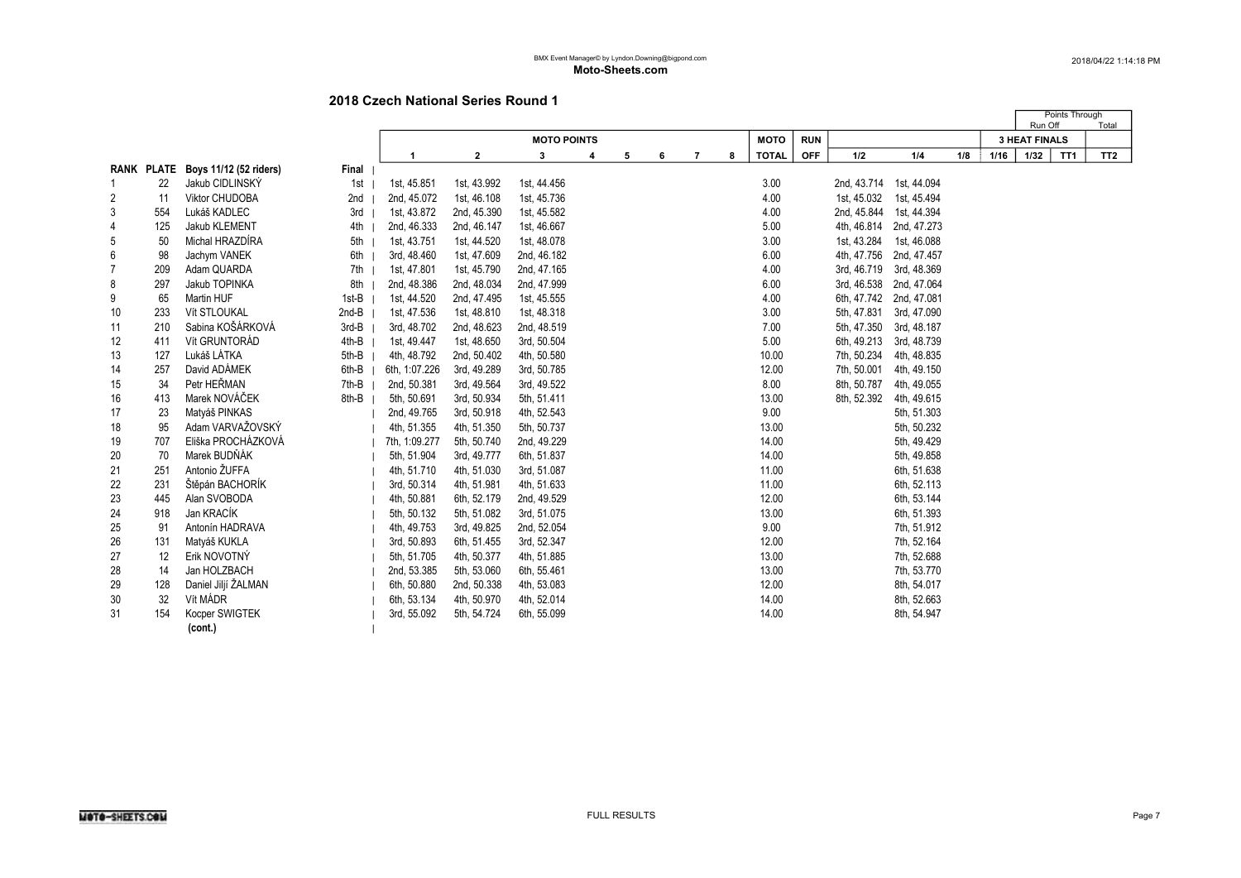|    |     |                                   |       |               |              |                    |   |   |   |   |   |              |            |             |                         |     |      | Run Off              | Points Through  | Total           |
|----|-----|-----------------------------------|-------|---------------|--------------|--------------------|---|---|---|---|---|--------------|------------|-------------|-------------------------|-----|------|----------------------|-----------------|-----------------|
|    |     |                                   |       |               |              | <b>MOTO POINTS</b> |   |   |   |   |   | <b>MOTO</b>  | <b>RUN</b> |             |                         |     |      | <b>3 HEAT FINALS</b> |                 |                 |
|    |     |                                   |       | -1            | $\mathbf{2}$ | 3                  | 4 | 5 | 6 | 7 | 8 | <b>TOTAL</b> | <b>OFF</b> | 1/2         | 1/4                     | 1/8 | 1/16 | 1/32                 | TT <sub>1</sub> | TT <sub>2</sub> |
|    |     | RANK PLATE Boys 11/12 (52 riders) | Final |               |              |                    |   |   |   |   |   |              |            |             |                         |     |      |                      |                 |                 |
|    | 22  | Jakub CIDLINSKÝ                   | 1st   | 1st, 45.851   | 1st, 43.992  | 1st, 44.456        |   |   |   |   |   | 3.00         |            |             | 2nd, 43.714 1st, 44.094 |     |      |                      |                 |                 |
| 2  | 11  | Viktor CHUDOBA                    | 2nd   | 2nd, 45.072   | 1st, 46.108  | 1st, 45.736        |   |   |   |   |   | 4.00         |            | 1st, 45.032 | 1st, 45.494             |     |      |                      |                 |                 |
| 3  | 554 | Lukáš KADLEC                      | 3rd   | 1st, 43.872   | 2nd, 45.390  | 1st, 45.582        |   |   |   |   |   | 4.00         |            | 2nd, 45.844 | 1st, 44.394             |     |      |                      |                 |                 |
| 4  | 125 | Jakub KLEMENT                     | 4th   | 2nd, 46.333   | 2nd, 46.147  | 1st, 46.667        |   |   |   |   |   | 5.00         |            | 4th, 46.814 | 2nd, 47.273             |     |      |                      |                 |                 |
| 5  | 50  | Michal HRAZDÍRA                   | 5th   | 1st, 43.751   | 1st, 44.520  | 1st, 48.078        |   |   |   |   |   | 3.00         |            | 1st, 43.284 | 1st, 46.088             |     |      |                      |                 |                 |
| 6  | 98  | Jachym VANEK                      | 6th   | 3rd, 48.460   | 1st, 47.609  | 2nd, 46.182        |   |   |   |   |   | 6.00         |            | 4th, 47.756 | 2nd, 47.457             |     |      |                      |                 |                 |
|    | 209 | Adam QUARDA                       | 7th   | 1st, 47.801   | 1st, 45.790  | 2nd, 47.165        |   |   |   |   |   | 4.00         |            | 3rd, 46.719 | 3rd, 48.369             |     |      |                      |                 |                 |
| 8  | 297 | Jakub TOPINKA                     | 8th   | 2nd, 48.386   | 2nd, 48.034  | 2nd, 47.999        |   |   |   |   |   | 6.00         |            | 3rd, 46.538 | 2nd, 47.064             |     |      |                      |                 |                 |
| 9  | 65  | <b>Martin HUF</b>                 | 1st-B | 1st, 44.520   | 2nd, 47.495  | 1st, 45.555        |   |   |   |   |   | 4.00         |            |             | 6th, 47.742 2nd, 47.081 |     |      |                      |                 |                 |
| 10 | 233 | Vít STLOUKAL                      | 2nd-B | 1st, 47.536   | 1st, 48.810  | 1st, 48.318        |   |   |   |   |   | 3.00         |            | 5th, 47.831 | 3rd, 47.090             |     |      |                      |                 |                 |
| 11 | 210 | Sabina KOŠÁRKOVÁ                  | 3rd-B | 3rd, 48.702   | 2nd, 48.623  | 2nd, 48.519        |   |   |   |   |   | 7.00         |            | 5th, 47.350 | 3rd, 48.187             |     |      |                      |                 |                 |
| 12 | 411 | Vít GRUNTORÁD                     | 4th-B | 1st, 49.447   | 1st, 48.650  | 3rd, 50.504        |   |   |   |   |   | 5.00         |            | 6th, 49.213 | 3rd, 48.739             |     |      |                      |                 |                 |
| 13 | 127 | Lukáš LÁTKA                       | 5th-B | 4th, 48.792   | 2nd, 50.402  | 4th, 50.580        |   |   |   |   |   | 10.00        |            | 7th, 50.234 | 4th, 48.835             |     |      |                      |                 |                 |
| 14 | 257 | David ADÁMEK                      | 6th-B | 6th, 1:07.226 | 3rd, 49.289  | 3rd, 50.785        |   |   |   |   |   | 12.00        |            | 7th, 50.001 | 4th, 49.150             |     |      |                      |                 |                 |
| 15 | 34  | Petr HEŘMAN                       | 7th-B | 2nd, 50.381   | 3rd, 49.564  | 3rd, 49.522        |   |   |   |   |   | 8.00         |            | 8th, 50.787 | 4th, 49.055             |     |      |                      |                 |                 |
| 16 | 413 | Marek NOVÁČEK                     | 8th-B | 5th, 50.691   | 3rd, 50.934  | 5th, 51.411        |   |   |   |   |   | 13.00        |            | 8th, 52.392 | 4th, 49.615             |     |      |                      |                 |                 |
| 17 | 23  | Matyáš PINKAS                     |       | 2nd, 49.765   | 3rd, 50.918  | 4th, 52.543        |   |   |   |   |   | 9.00         |            |             | 5th, 51.303             |     |      |                      |                 |                 |
| 18 | 95  | Adam VARVAŽOVSKÝ                  |       | 4th, 51.355   | 4th, 51.350  | 5th, 50.737        |   |   |   |   |   | 13.00        |            |             | 5th, 50.232             |     |      |                      |                 |                 |
| 19 | 707 | Eliška PROCHÁZKOVÁ                |       | 7th, 1:09.277 | 5th, 50.740  | 2nd, 49.229        |   |   |   |   |   | 14.00        |            |             | 5th, 49.429             |     |      |                      |                 |                 |
| 20 | 70  | Marek BUDŇÁK                      |       | 5th, 51.904   | 3rd, 49.777  | 6th, 51.837        |   |   |   |   |   | 14.00        |            |             | 5th, 49.858             |     |      |                      |                 |                 |
| 21 | 251 | Antonio ŽUFFA                     |       | 4th, 51.710   | 4th, 51.030  | 3rd, 51.087        |   |   |   |   |   | 11.00        |            |             | 6th, 51.638             |     |      |                      |                 |                 |
| 22 | 231 | Štěpán BACHORÍK                   |       | 3rd, 50.314   | 4th, 51.981  | 4th, 51.633        |   |   |   |   |   | 11.00        |            |             | 6th, 52.113             |     |      |                      |                 |                 |
| 23 | 445 | Alan SVOBODA                      |       | 4th, 50.881   | 6th, 52.179  | 2nd, 49.529        |   |   |   |   |   | 12.00        |            |             | 6th, 53.144             |     |      |                      |                 |                 |
| 24 | 918 | Jan KRACÍK                        |       | 5th, 50.132   | 5th, 51.082  | 3rd, 51.075        |   |   |   |   |   | 13.00        |            |             | 6th, 51.393             |     |      |                      |                 |                 |
| 25 | 91  | Antonín HADRAVA                   |       | 4th, 49.753   | 3rd, 49.825  | 2nd, 52.054        |   |   |   |   |   | 9.00         |            |             | 7th, 51.912             |     |      |                      |                 |                 |
| 26 | 131 | Matyáš KUKLA                      |       | 3rd, 50.893   | 6th, 51.455  | 3rd, 52.347        |   |   |   |   |   | 12.00        |            |             | 7th, 52.164             |     |      |                      |                 |                 |
| 27 | 12  | Erik NOVOTNÝ                      |       | 5th, 51.705   | 4th, 50.377  | 4th, 51.885        |   |   |   |   |   | 13.00        |            |             | 7th, 52.688             |     |      |                      |                 |                 |
| 28 | 14  | Jan HOLZBACH                      |       | 2nd, 53.385   | 5th, 53.060  | 6th, 55.461        |   |   |   |   |   | 13.00        |            |             | 7th, 53.770             |     |      |                      |                 |                 |
| 29 | 128 | Daniel Jiljí ŽALMAN               |       | 6th, 50.880   | 2nd, 50.338  | 4th, 53.083        |   |   |   |   |   | 12.00        |            |             | 8th, 54.017             |     |      |                      |                 |                 |
| 30 | 32  | Vít MÁDR                          |       | 6th, 53.134   | 4th, 50.970  | 4th, 52.014        |   |   |   |   |   | 14.00        |            |             | 8th, 52.663             |     |      |                      |                 |                 |
| 31 | 154 | Kocper SWIGTEK                    |       | 3rd, 55.092   | 5th, 54.724  | 6th, 55.099        |   |   |   |   |   | 14.00        |            |             | 8th, 54.947             |     |      |                      |                 |                 |
|    |     | (cont.)                           |       |               |              |                    |   |   |   |   |   |              |            |             |                         |     |      |                      |                 |                 |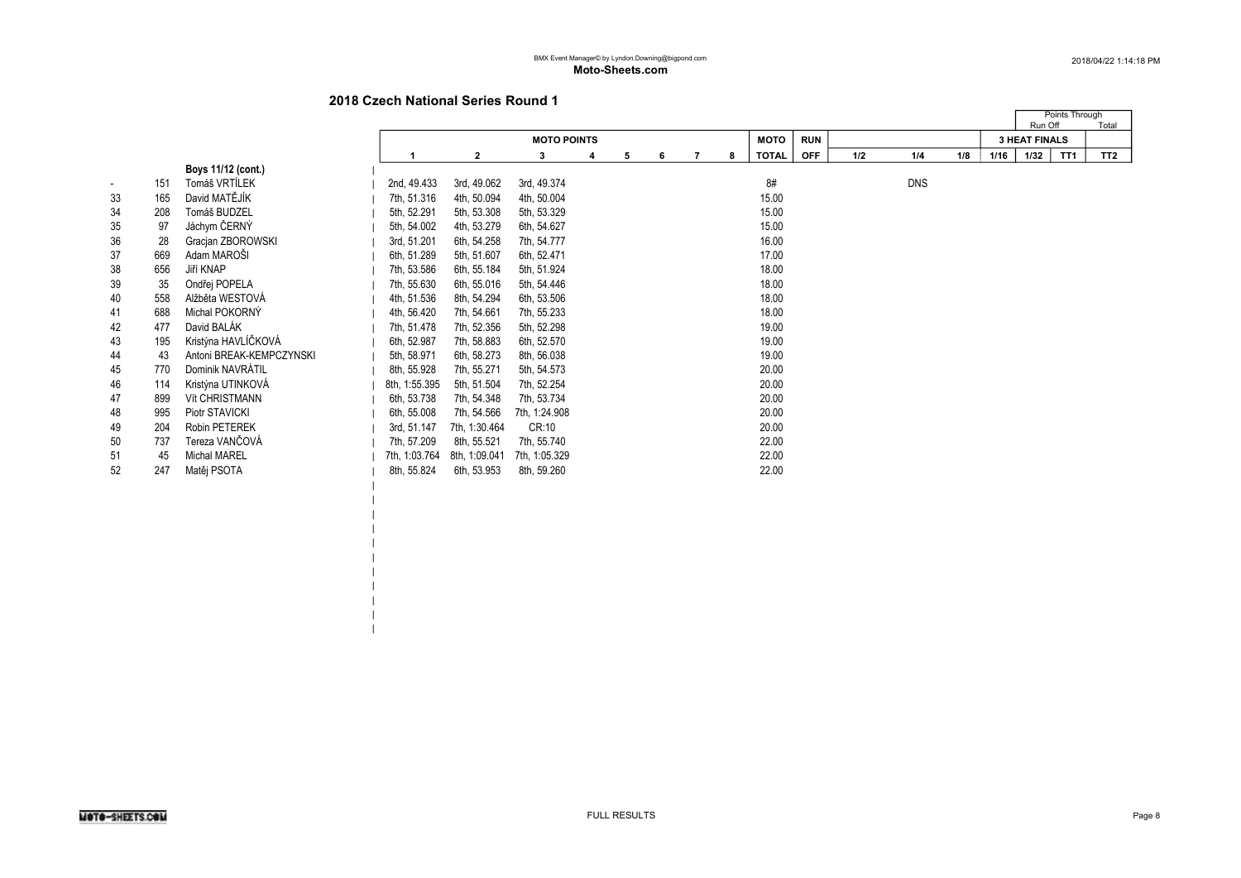|  $\perp$  $\blacksquare$ |

|                          |     |                          |               |               |                    |   |   |   |   |   |              |            |     |            |     |      | Run Off              | Points Through | Total           |
|--------------------------|-----|--------------------------|---------------|---------------|--------------------|---|---|---|---|---|--------------|------------|-----|------------|-----|------|----------------------|----------------|-----------------|
|                          |     |                          |               |               | <b>MOTO POINTS</b> |   |   |   |   |   | МОТО         | <b>RUN</b> |     |            |     |      | <b>3 HEAT FINALS</b> |                |                 |
|                          |     |                          |               | $\mathbf{2}$  | 3                  | 4 | 5 | 6 | 7 | 8 | <b>TOTAL</b> | <b>OFF</b> | 1/2 | 1/4        | 1/8 | 1/16 | 1/32                 | TT1            | TT <sub>2</sub> |
|                          |     | Boys 11/12 (cont.)       |               |               |                    |   |   |   |   |   |              |            |     |            |     |      |                      |                |                 |
| $\overline{\phantom{a}}$ | 151 | Tomáš VRTÍLEK            | 2nd, 49.433   | 3rd, 49.062   | 3rd, 49.374        |   |   |   |   |   | 8#           |            |     | <b>DNS</b> |     |      |                      |                |                 |
| 33                       | 165 | David MATĚJÍK            | 7th, 51.316   | 4th, 50.094   | 4th, 50.004        |   |   |   |   |   | 15.00        |            |     |            |     |      |                      |                |                 |
| 34                       | 208 | Tomáš BUDZEL             | 5th, 52.291   | 5th, 53.308   | 5th, 53.329        |   |   |   |   |   | 15.00        |            |     |            |     |      |                      |                |                 |
| 35                       | 97  | Jáchym ČERNÝ             | 5th, 54.002   | 4th, 53.279   | 6th, 54.627        |   |   |   |   |   | 15.00        |            |     |            |     |      |                      |                |                 |
| 36                       | 28  | Gracjan ZBOROWSKI        | 3rd, 51.201   | 6th, 54.258   | 7th, 54.777        |   |   |   |   |   | 16.00        |            |     |            |     |      |                      |                |                 |
| 37                       | 669 | Adam MAROŠI              | 6th, 51.289   | 5th, 51.607   | 6th, 52.471        |   |   |   |   |   | 17.00        |            |     |            |     |      |                      |                |                 |
| 38                       | 656 | Jiří KNAP                | 7th, 53.586   | 6th, 55.184   | 5th, 51.924        |   |   |   |   |   | 18.00        |            |     |            |     |      |                      |                |                 |
| 39                       | 35  | Ondřej POPELA            | 7th, 55.630   | 6th, 55.016   | 5th, 54.446        |   |   |   |   |   | 18.00        |            |     |            |     |      |                      |                |                 |
| 40                       | 558 | Alžběta WESTOVÁ          | 4th, 51.536   | 8th, 54.294   | 6th, 53.506        |   |   |   |   |   | 18.00        |            |     |            |     |      |                      |                |                 |
| 41                       | 688 | Michal POKORNY           | 4th, 56.420   | 7th, 54.661   | 7th, 55.233        |   |   |   |   |   | 18.00        |            |     |            |     |      |                      |                |                 |
| 42                       | 477 | David BALÁK              | 7th, 51.478   | 7th, 52.356   | 5th, 52.298        |   |   |   |   |   | 19.00        |            |     |            |     |      |                      |                |                 |
| 43                       | 195 | Kristýna HAVLÍČKOVÁ      | 6th, 52.987   | 7th, 58.883   | 6th, 52.570        |   |   |   |   |   | 19.00        |            |     |            |     |      |                      |                |                 |
| 44                       | 43  | Antoni BREAK-KEMPCZYNSKI | 5th, 58.971   | 6th, 58.273   | 8th, 56.038        |   |   |   |   |   | 19.00        |            |     |            |     |      |                      |                |                 |
| 45                       | 770 | Dominik NAVRÁTIL         | 8th, 55.928   | 7th, 55.271   | 5th, 54.573        |   |   |   |   |   | 20.00        |            |     |            |     |      |                      |                |                 |
| 46                       | 114 | Kristýna UTINKOVÁ        | 8th, 1:55.395 | 5th, 51.504   | 7th, 52.254        |   |   |   |   |   | 20.00        |            |     |            |     |      |                      |                |                 |
| 47                       | 899 | <b>Vít CHRISTMANN</b>    | 6th, 53.738   | 7th, 54.348   | 7th, 53.734        |   |   |   |   |   | 20.00        |            |     |            |     |      |                      |                |                 |
| 48                       | 995 | Piotr STAVICKI           | 6th, 55.008   | 7th, 54.566   | 7th, 1:24.908      |   |   |   |   |   | 20.00        |            |     |            |     |      |                      |                |                 |
| 49                       | 204 | Robin PETEREK            | 3rd, 51.147   | 7th, 1:30.464 | CR:10              |   |   |   |   |   | 20.00        |            |     |            |     |      |                      |                |                 |
| 50                       | 737 | Tereza VANČOVÁ           | 7th, 57.209   | 8th, 55.521   | 7th, 55.740        |   |   |   |   |   | 22.00        |            |     |            |     |      |                      |                |                 |
| 51                       | 45  | <b>Michal MAREL</b>      | 7th, 1:03.764 | 8th, 1:09.041 | 7th, 1:05.329      |   |   |   |   |   | 22.00        |            |     |            |     |      |                      |                |                 |
| 52                       | 247 | Matěj PSOTA              | 8th, 55.824   | 6th, 53.953   | 8th, 59.260        |   |   |   |   |   | 22.00        |            |     |            |     |      |                      |                |                 |
|                          |     |                          |               |               |                    |   |   |   |   |   |              |            |     |            |     |      |                      |                |                 |
|                          |     |                          |               |               |                    |   |   |   |   |   |              |            |     |            |     |      |                      |                |                 |
|                          |     |                          |               |               |                    |   |   |   |   |   |              |            |     |            |     |      |                      |                |                 |
|                          |     |                          |               |               |                    |   |   |   |   |   |              |            |     |            |     |      |                      |                |                 |
|                          |     |                          |               |               |                    |   |   |   |   |   |              |            |     |            |     |      |                      |                |                 |
|                          |     |                          |               |               |                    |   |   |   |   |   |              |            |     |            |     |      |                      |                |                 |
|                          |     |                          |               |               |                    |   |   |   |   |   |              |            |     |            |     |      |                      |                |                 |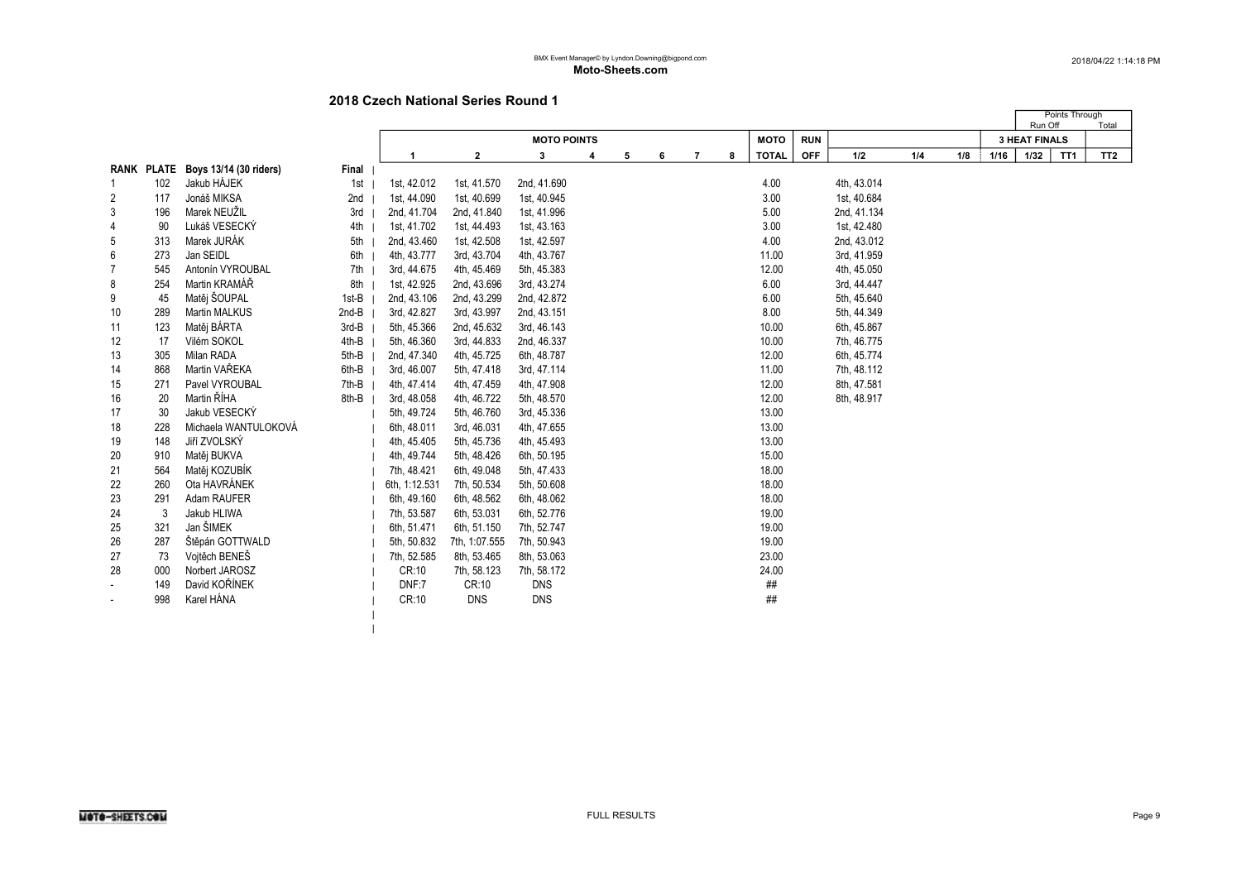|

|                |     |                                   |         |               |               |                    |   |   |   |                |   |              |            |             |     |     |      | Run Off              | Points Through  | Total           |
|----------------|-----|-----------------------------------|---------|---------------|---------------|--------------------|---|---|---|----------------|---|--------------|------------|-------------|-----|-----|------|----------------------|-----------------|-----------------|
|                |     |                                   |         |               |               | <b>MOTO POINTS</b> |   |   |   |                |   | <b>MOTO</b>  | <b>RUN</b> |             |     |     |      | <b>3 HEAT FINALS</b> |                 |                 |
|                |     |                                   |         | -1            | $\mathbf{2}$  | 3                  | 4 | 5 | 6 | $\overline{7}$ | 8 | <b>TOTAL</b> | <b>OFF</b> | 1/2         | 1/4 | 1/8 | 1/16 | 1/32                 | TT <sub>1</sub> | TT <sub>2</sub> |
|                |     | RANK PLATE Boys 13/14 (30 riders) | Final   |               |               |                    |   |   |   |                |   |              |            |             |     |     |      |                      |                 |                 |
|                | 102 | Jakub HÁJEK                       | 1st     | 1st, 42.012   | 1st, 41.570   | 2nd, 41.690        |   |   |   |                |   | 4.00         |            | 4th, 43.014 |     |     |      |                      |                 |                 |
| 2              | 117 | Jonáš MIKSA                       | 2nd     | 1st, 44.090   | 1st, 40.699   | 1st, 40.945        |   |   |   |                |   | 3.00         |            | 1st, 40.684 |     |     |      |                      |                 |                 |
| 3              | 196 | Marek NEUŽIL                      | 3rd     | 2nd, 41.704   | 2nd, 41.840   | 1st, 41.996        |   |   |   |                |   | 5.00         |            | 2nd, 41.134 |     |     |      |                      |                 |                 |
| 4              | 90  | Lukáš VESECKÝ                     | 4th     | 1st, 41.702   | 1st, 44.493   | 1st, 43.163        |   |   |   |                |   | 3.00         |            | 1st, 42.480 |     |     |      |                      |                 |                 |
| 5              | 313 | Marek JURÁK                       | 5th     | 2nd, 43.460   | 1st, 42.508   | 1st, 42.597        |   |   |   |                |   | 4.00         |            | 2nd, 43.012 |     |     |      |                      |                 |                 |
| 6              | 273 | Jan SEIDL                         | 6th     | 4th, 43.777   | 3rd, 43.704   | 4th, 43.767        |   |   |   |                |   | 11.00        |            | 3rd, 41.959 |     |     |      |                      |                 |                 |
| $\overline{7}$ | 545 | Antonín VYROUBAL                  | 7th     | 3rd, 44.675   | 4th, 45.469   | 5th, 45.383        |   |   |   |                |   | 12.00        |            | 4th, 45.050 |     |     |      |                      |                 |                 |
| 8              | 254 | Martin KRAMÁŘ                     | 8th     | 1st, 42.925   | 2nd, 43.696   | 3rd, 43.274        |   |   |   |                |   | 6.00         |            | 3rd, 44.447 |     |     |      |                      |                 |                 |
| 9              | 45  | Matěj ŠOUPAL                      | 1st-B   | 2nd, 43.106   | 2nd, 43.299   | 2nd, 42.872        |   |   |   |                |   | 6.00         |            | 5th, 45.640 |     |     |      |                      |                 |                 |
| 10             | 289 | Martin MALKUS                     | $2nd-B$ | 3rd, 42.827   | 3rd, 43.997   | 2nd, 43.151        |   |   |   |                |   | 8.00         |            | 5th, 44.349 |     |     |      |                      |                 |                 |
| 11             | 123 | Matěj BÁRTA                       | 3rd-B   | 5th, 45.366   | 2nd, 45.632   | 3rd, 46.143        |   |   |   |                |   | 10.00        |            | 6th, 45.867 |     |     |      |                      |                 |                 |
| 12             | 17  | Vilém SOKOL                       | 4th-B   | 5th, 46.360   | 3rd, 44.833   | 2nd, 46.337        |   |   |   |                |   | 10.00        |            | 7th, 46.775 |     |     |      |                      |                 |                 |
| 13             | 305 | Milan RADA                        | 5th-B   | 2nd, 47.340   | 4th, 45.725   | 6th, 48.787        |   |   |   |                |   | 12.00        |            | 6th, 45.774 |     |     |      |                      |                 |                 |
| 14             | 868 | Martin VAŘEKA                     | 6th-B   | 3rd, 46.007   | 5th, 47.418   | 3rd, 47.114        |   |   |   |                |   | 11.00        |            | 7th, 48.112 |     |     |      |                      |                 |                 |
| 15             | 271 | Pavel VYROUBAL                    | 7th-B   | 4th, 47.414   | 4th, 47.459   | 4th, 47.908        |   |   |   |                |   | 12.00        |            | 8th, 47.581 |     |     |      |                      |                 |                 |
| 16             | 20  | Martin ŘÍHA                       | 8th-B   | 3rd, 48.058   | 4th, 46.722   | 5th, 48.570        |   |   |   |                |   | 12.00        |            | 8th, 48.917 |     |     |      |                      |                 |                 |
| 17             | 30  | Jakub VESECKÝ                     |         | 5th, 49.724   | 5th, 46.760   | 3rd, 45.336        |   |   |   |                |   | 13.00        |            |             |     |     |      |                      |                 |                 |
| 18             | 228 | Michaela WANTULOKOVÁ              |         | 6th, 48.011   | 3rd, 46.031   | 4th, 47.655        |   |   |   |                |   | 13.00        |            |             |     |     |      |                      |                 |                 |
| 19             | 148 | Jiří ZVOLSKÝ                      |         | 4th, 45.405   | 5th, 45.736   | 4th, 45.493        |   |   |   |                |   | 13.00        |            |             |     |     |      |                      |                 |                 |
| 20             | 910 | Matěj BUKVA                       |         | 4th, 49.744   | 5th, 48.426   | 6th, 50.195        |   |   |   |                |   | 15.00        |            |             |     |     |      |                      |                 |                 |
| 21             | 564 | Matěj KOZUBÍK                     |         | 7th, 48.421   | 6th, 49.048   | 5th, 47.433        |   |   |   |                |   | 18.00        |            |             |     |     |      |                      |                 |                 |
| 22             | 260 | Ota HAVRÁNEK                      |         | 6th, 1:12.531 | 7th, 50.534   | 5th, 50.608        |   |   |   |                |   | 18.00        |            |             |     |     |      |                      |                 |                 |
| 23             | 291 | Adam RAUFER                       |         | 6th, 49.160   | 6th, 48.562   | 6th, 48.062        |   |   |   |                |   | 18.00        |            |             |     |     |      |                      |                 |                 |
| 24             | 3   | Jakub HLIWA                       |         | 7th, 53.587   | 6th, 53.031   | 6th, 52.776        |   |   |   |                |   | 19.00        |            |             |     |     |      |                      |                 |                 |
| 25             | 321 | Jan ŠIMEK                         |         | 6th, 51.471   | 6th, 51.150   | 7th, 52.747        |   |   |   |                |   | 19.00        |            |             |     |     |      |                      |                 |                 |
| 26             | 287 | Štěpán GOTTWALD                   |         | 5th. 50.832   | 7th, 1:07.555 | 7th, 50.943        |   |   |   |                |   | 19.00        |            |             |     |     |      |                      |                 |                 |
| 27             | 73  | Vojtěch BENEŠ                     |         | 7th, 52.585   | 8th, 53.465   | 8th, 53.063        |   |   |   |                |   | 23.00        |            |             |     |     |      |                      |                 |                 |
| 28             | 000 | Norbert JAROSZ                    |         | CR:10         | 7th, 58.123   | 7th, 58.172        |   |   |   |                |   | 24.00        |            |             |     |     |      |                      |                 |                 |
|                | 149 | David KOŘÍNEK                     |         | DNF:7         | CR:10         | <b>DNS</b>         |   |   |   |                |   | ##           |            |             |     |     |      |                      |                 |                 |
|                | 998 | Karel HÁNA                        |         | CR:10         | <b>DNS</b>    | <b>DNS</b>         |   |   |   |                |   | ##           |            |             |     |     |      |                      |                 |                 |
|                |     |                                   |         |               |               |                    |   |   |   |                |   |              |            |             |     |     |      |                      |                 |                 |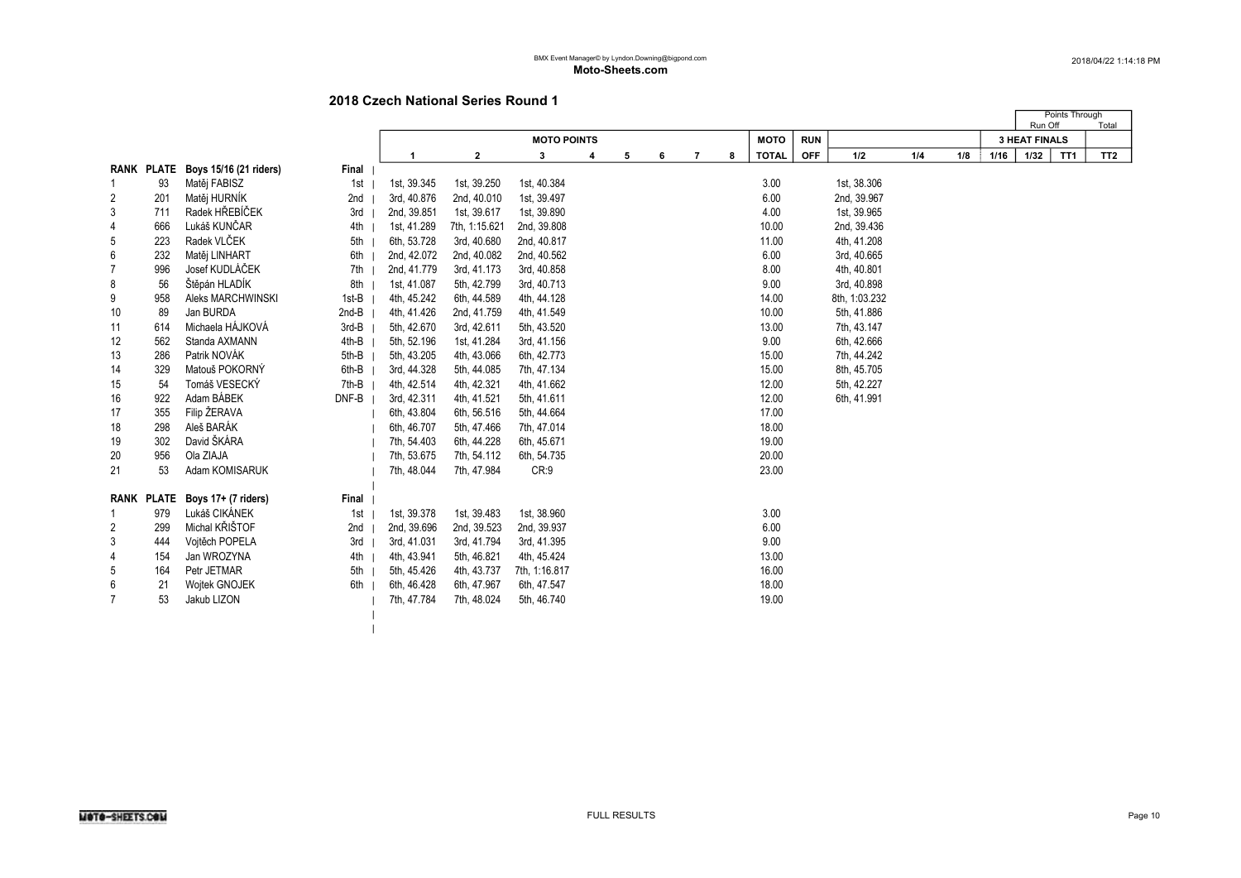$\vert$ 

|                |            |                        |         |             |               |                    |   |   |   |                |   |              |            |               |     |     |      | Run Off              | Points Through  | Total           |
|----------------|------------|------------------------|---------|-------------|---------------|--------------------|---|---|---|----------------|---|--------------|------------|---------------|-----|-----|------|----------------------|-----------------|-----------------|
|                |            |                        |         |             |               | <b>MOTO POINTS</b> |   |   |   |                |   | <b>MOTO</b>  | <b>RUN</b> |               |     |     |      | <b>3 HEAT FINALS</b> |                 |                 |
|                |            |                        |         |             | $\mathbf{2}$  | 3                  | 4 | 5 | 6 | $\overline{7}$ | 8 | <b>TOTAL</b> | <b>OFF</b> | 1/2           | 1/4 | 1/8 | 1/16 | 1/32                 | TT <sub>1</sub> | TT <sub>2</sub> |
|                | RANK PLATE | Boys 15/16 (21 riders) | Final   |             |               |                    |   |   |   |                |   |              |            |               |     |     |      |                      |                 |                 |
| 1              | 93         | Matěj FABISZ           | 1st     | 1st, 39.345 | 1st, 39.250   | 1st, 40.384        |   |   |   |                |   | 3.00         |            | 1st, 38.306   |     |     |      |                      |                 |                 |
| 2              | 201        | Matěj HURNÍK           | 2nd     | 3rd, 40.876 | 2nd, 40.010   | 1st, 39.497        |   |   |   |                |   | 6.00         |            | 2nd, 39.967   |     |     |      |                      |                 |                 |
| 3              | 711        | Radek HŘEBÍČEK         | 3rd     | 2nd, 39.851 | 1st, 39.617   | 1st, 39.890        |   |   |   |                |   | 4.00         |            | 1st, 39.965   |     |     |      |                      |                 |                 |
| 4              | 666        | Lukáš KUNČAR           | 4th     | 1st, 41.289 | 7th, 1:15.621 | 2nd, 39.808        |   |   |   |                |   | 10.00        |            | 2nd, 39.436   |     |     |      |                      |                 |                 |
| 5              | 223        | Radek VLČEK            | 5th     | 6th, 53.728 | 3rd, 40.680   | 2nd, 40.817        |   |   |   |                |   | 11.00        |            | 4th, 41.208   |     |     |      |                      |                 |                 |
| 6              | 232        | Matěj LINHART          | 6th     | 2nd, 42.072 | 2nd, 40.082   | 2nd, 40.562        |   |   |   |                |   | 6.00         |            | 3rd, 40.665   |     |     |      |                      |                 |                 |
| $\overline{7}$ | 996        | Josef KUDLÁČEK         | 7th     | 2nd, 41.779 | 3rd, 41.173   | 3rd, 40.858        |   |   |   |                |   | 8.00         |            | 4th, 40.801   |     |     |      |                      |                 |                 |
| 8              | 56         | Štěpán HLADÍK          | 8th     | 1st, 41.087 | 5th, 42.799   | 3rd, 40.713        |   |   |   |                |   | 9.00         |            | 3rd, 40.898   |     |     |      |                      |                 |                 |
| 9              | 958        | Aleks MARCHWINSKI      | 1st-B   | 4th, 45.242 | 6th, 44.589   | 4th, 44.128        |   |   |   |                |   | 14.00        |            | 8th, 1:03.232 |     |     |      |                      |                 |                 |
| 10             | 89         | Jan BURDA              | $2nd-B$ | 4th, 41.426 | 2nd, 41.759   | 4th, 41.549        |   |   |   |                |   | 10.00        |            | 5th, 41.886   |     |     |      |                      |                 |                 |
| 11             | 614        | Michaela HÁJKOVÁ       | 3rd-B   | 5th, 42.670 | 3rd, 42.611   | 5th, 43.520        |   |   |   |                |   | 13.00        |            | 7th, 43.147   |     |     |      |                      |                 |                 |
| 12             | 562        | Standa AXMANN          | 4th-B   | 5th, 52.196 | 1st, 41.284   | 3rd, 41.156        |   |   |   |                |   | 9.00         |            | 6th, 42.666   |     |     |      |                      |                 |                 |
| 13             | 286        | Patrik NOVÁK           | 5th-B   | 5th, 43.205 | 4th, 43.066   | 6th, 42.773        |   |   |   |                |   | 15.00        |            | 7th, 44.242   |     |     |      |                      |                 |                 |
| 14             | 329        | Matouš POKORNÝ         | 6th-B   | 3rd, 44.328 | 5th, 44.085   | 7th, 47.134        |   |   |   |                |   | 15.00        |            | 8th, 45.705   |     |     |      |                      |                 |                 |
| 15             | 54         | Tomáš VESECKÝ          | 7th-B   | 4th, 42.514 | 4th, 42.321   | 4th, 41.662        |   |   |   |                |   | 12.00        |            | 5th, 42.227   |     |     |      |                      |                 |                 |
| 16             | 922        | Adam BÁBEK             | DNF-B   | 3rd, 42.311 | 4th, 41.521   | 5th, 41.611        |   |   |   |                |   | 12.00        |            | 6th, 41.991   |     |     |      |                      |                 |                 |
| 17             | 355        | Filip ŽERAVA           |         | 6th, 43.804 | 6th, 56.516   | 5th, 44.664        |   |   |   |                |   | 17.00        |            |               |     |     |      |                      |                 |                 |
| 18             | 298        | Aleš BARÁK             |         | 6th, 46.707 | 5th, 47.466   | 7th, 47.014        |   |   |   |                |   | 18.00        |            |               |     |     |      |                      |                 |                 |
| 19             | 302        | David ŠKÁRA            |         | 7th, 54.403 | 6th, 44.228   | 6th, 45.671        |   |   |   |                |   | 19.00        |            |               |     |     |      |                      |                 |                 |
| 20             | 956        | Ola ZIAJA              |         | 7th, 53.675 | 7th, 54.112   | 6th, 54.735        |   |   |   |                |   | 20.00        |            |               |     |     |      |                      |                 |                 |
| 21             | 53         | Adam KOMISARUK         |         | 7th, 48.044 | 7th, 47.984   | CR:9               |   |   |   |                |   | 23.00        |            |               |     |     |      |                      |                 |                 |
|                |            |                        |         |             |               |                    |   |   |   |                |   |              |            |               |     |     |      |                      |                 |                 |
|                | RANK PLATE | Boys 17+ (7 riders)    | Final   |             |               |                    |   |   |   |                |   |              |            |               |     |     |      |                      |                 |                 |
| 1              | 979        | Lukáš CIKÁNEK          | 1st     | 1st, 39.378 | 1st, 39.483   | 1st, 38.960        |   |   |   |                |   | 3.00         |            |               |     |     |      |                      |                 |                 |
| 2              | 299        | Michal KŘIŠTOF         | 2nd     | 2nd, 39.696 | 2nd, 39.523   | 2nd, 39.937        |   |   |   |                |   | 6.00         |            |               |     |     |      |                      |                 |                 |
| 3              | 444        | Voitěch POPELA         | 3rd     | 3rd, 41.031 | 3rd, 41.794   | 3rd, 41.395        |   |   |   |                |   | 9.00         |            |               |     |     |      |                      |                 |                 |
| 4              | 154        | Jan WROZYNA            | 4th     | 4th, 43.941 | 5th, 46.821   | 4th, 45.424        |   |   |   |                |   | 13.00        |            |               |     |     |      |                      |                 |                 |
| 5              | 164        | Petr JETMAR            | 5th     | 5th, 45.426 | 4th, 43.737   | 7th, 1:16.817      |   |   |   |                |   | 16.00        |            |               |     |     |      |                      |                 |                 |
| 6              | 21         | <b>Wojtek GNOJEK</b>   | 6th     | 6th, 46.428 | 6th, 47.967   | 6th, 47.547        |   |   |   |                |   | 18.00        |            |               |     |     |      |                      |                 |                 |
| 7              | 53         | Jakub LIZON            |         | 7th, 47.784 | 7th, 48.024   | 5th, 46.740        |   |   |   |                |   | 19.00        |            |               |     |     |      |                      |                 |                 |
|                |            |                        |         |             |               |                    |   |   |   |                |   |              |            |               |     |     |      |                      |                 |                 |